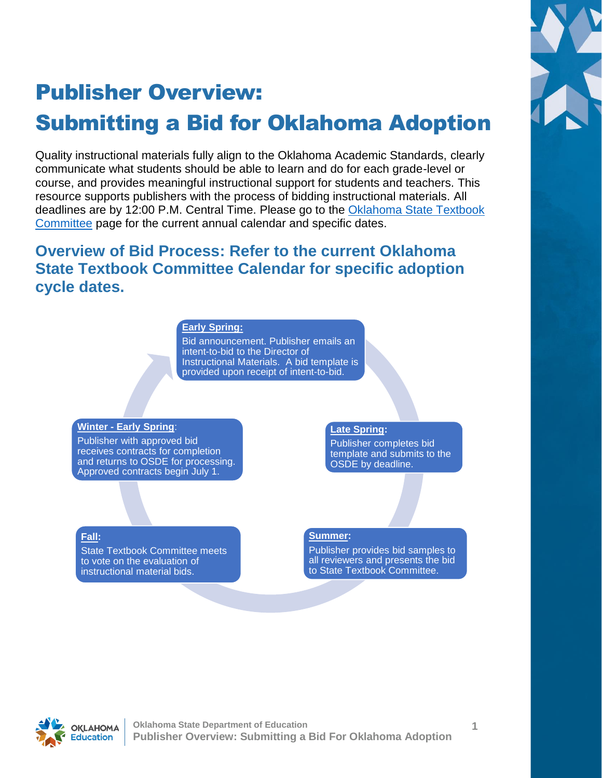

# Publisher Overview: Submitting a Bid for Oklahoma Adoption

Quality instructional materials fully align to the Oklahoma Academic Standards, clearly communicate what students should be able to learn and do for each grade-level or course, and provides meaningful instructional support for students and teachers. This resource supports publishers with the process of bidding instructional materials. All deadlines are by 12:00 P.M. Central Time. Please go to the [Oklahoma State Textbook](https://sde.ok.gov/hqim/STC)  [Committee](https://sde.ok.gov/hqim/STC) page for the current annual calendar and specific dates.

### **Overview of Bid Process: Refer to the current Oklahoma State Textbook Committee Calendar for specific adoption cycle dates.**

#### **Early Spring:**

Bid announcement. Publisher emails an intent-to-bid to the Director of [Instructional Materials. A bid template is](#page-0-0)  provided upon receipt of intent-to-bid.

#### **Winter - Early Spring**:

Publisher with approved bid receives contracts for completion and returns to OSDE for processing. Approved contracts begin July 1.

#### **Late Spring:**

Publisher completes bid [template and submits to the](#page-1-0)  OSDE by deadline.

#### **Fall:**

[State Textbook Committee meets](#page-2-0)  to vote on the evaluation of instructional material bids.

#### **Summer:**

[Publisher provides bid samples to](#page-1-0)  all reviewers and presents the bid to State Textbook Committee.

<span id="page-0-0"></span>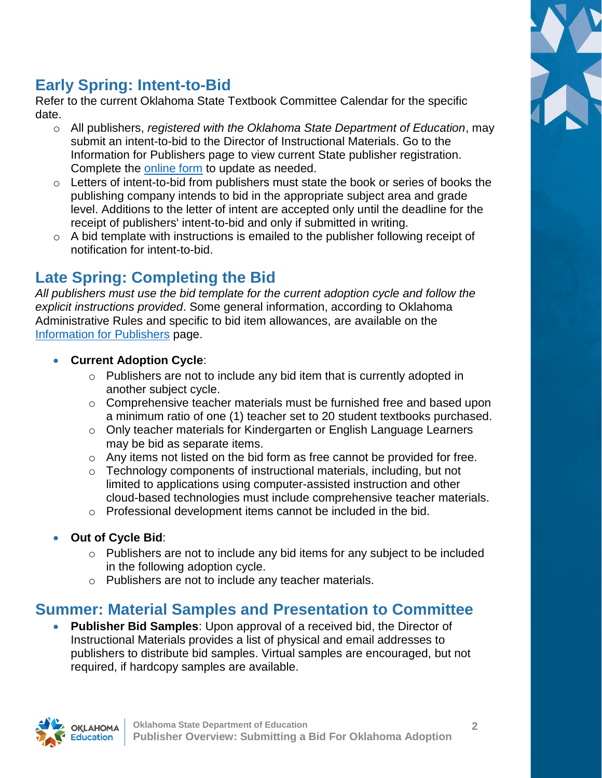

# **Early Spring: Intent-to-Bid**

Refer to the current Oklahoma State Textbook Committee Calendar for the specific date.

- o All publishers, *registered with the Oklahoma State Department of Education*, may submit an intent-to-bid to the Director of Instructional Materials. Go to the Information for Publishers page to view current State publisher registration. Complete the [online form](https://airtable.com/shrdL83ea9IwtaJSK) to update as needed.
- $\circ$  Letters of intent-to-bid from publishers must state the book or series of books the publishing company intends to bid in the appropriate subject area and grade level. Additions to the letter of intent are accepted only until the deadline for the receipt of publishers' intent-to-bid and only if submitted in writing.
- $\circ$  A bid template with instructions is emailed to the publisher following receipt of notification for intent-to-bid.

## <span id="page-1-0"></span>**Late Spring: Completing the Bid**

*All publishers must use the bid template for the current adoption cycle and follow the explicit instructions provided*. Some general information, according to Oklahoma Administrative Rules and specific to bid item allowances, are available on the [Information for Publishers](https://sde.ok.gov/hqim/info-for-publishers) page.

#### **Current Adoption Cycle**:

- $\circ$  Publishers are not to include any bid item that is currently adopted in another subject cycle.
- $\circ$  Comprehensive teacher materials must be furnished free and based upon a minimum ratio of one (1) teacher set to 20 student textbooks purchased.
- $\circ$  Only teacher materials for Kindergarten or English Language Learners may be bid as separate items.
- $\circ$  Any items not listed on the bid form as free cannot be provided for free.
- o Technology components of instructional materials, including, but not limited to applications using computer-assisted instruction and other cloud-based technologies must include comprehensive teacher materials.
- o Professional development items cannot be included in the bid.
- **Out of Cycle Bid**:
	- $\circ$  Publishers are not to include any bid items for any subject to be included in the following adoption cycle.
	- o Publishers are not to include any teacher materials.

### **Summer: Material Samples and Presentation to Committee**

 **Publisher Bid Samples**: Upon approval of a received bid, the Director of Instructional Materials provides a list of physical and email addresses to publishers to distribute bid samples. Virtual samples are encouraged, but not required, if hardcopy samples are available.